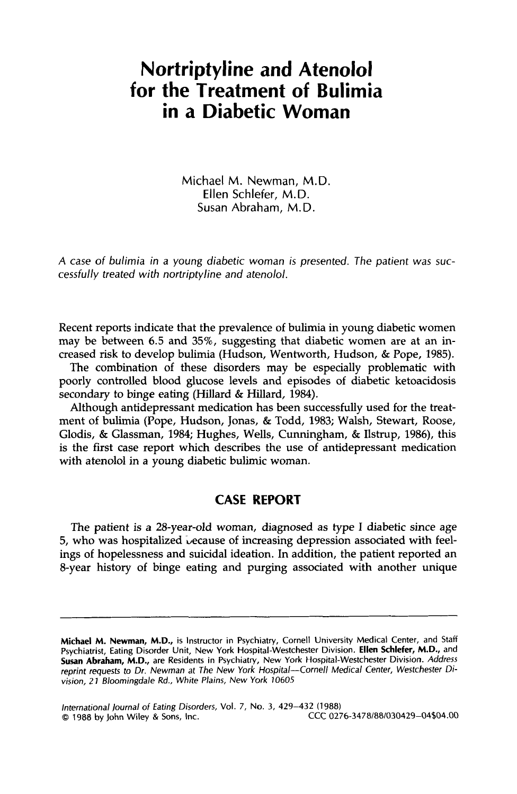## **Nortriptyline and Atenolol for the Treatment of Bulimia in a Diabetic Woman**

Michael M. Newman, M.D. **Ellen** Schlefer, M.D. Susan Abraham, M.D.

*A case of bulimia in a young diabetic woman is presented. The patient was* **suc***cessfully treated with nortriptyline and atenolol.* 

Recent reports indicate that the prevalence of bulimia in young diabetic women may be between 6.5 and **35%,** suggesting that diabetic women are at an increased risk to develop bulimia (Hudson, Wentworth, Hudson, & Pope, **1985).** 

The combination **of** these disorders may be especially problematic with poorly controlled blood glucose levels and episodes of diabetic ketoacidosis secondary to binge eating (Hillard & Hillard, **1984).** 

Although antidepressant medication has been successfully used for the treatment of bulimia (Pope, Hudson, Jonas, & Todd, **1983;** Walsh, Stewart, Roose, Glodis, & Glassman, **1984;** Hughes, Wells, Cunningham, & Ilstrup, **1986),** this is the first case report which describes the use of antidepressant medication with atenolol in a young diabetic bulimic woman.

## **CASE REPORT**

The patient is a 28-year-old woman, diagnosed as type I diabetic since age 5, who was hospitalized because of increasing depression associated with feelings of hopelessness and suicidal ideation. In addition, the patient reported an 8-year history of binge eating and purging associated with another unique

**Michael** *hi.* **Newman, M.D.,** is Instructor in Psychiatry, Cornell University Medical Center, and Staff Psychiatrist, Eating Disorder Unit, New York Hospital-Westchester Division. **Ellen Schlefer, M.D.,** and **Susan Abraham, M.D.,** are Residents in Psychiatry, New **York** Hospital-Westchester Division. Address reprint requests to Dr. Newman at The New York Hospital-Cornell Medical Center, Westchester Division, 2 *J* Bloomingdate **Rd.,** White Plains, New York *10605*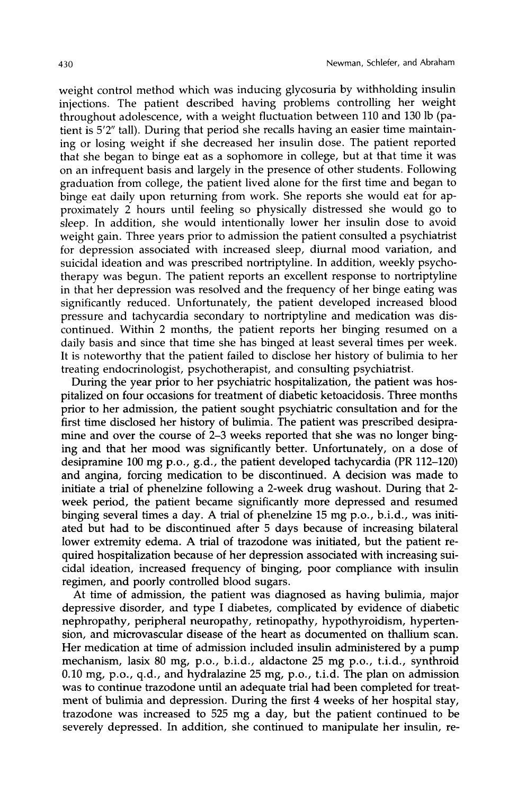weight control method which was inducing glycosuria by withholding insulin injections. The patient described having problems controlling her weight throughout adolescence, with a weight fluctuation between 110 and 130 lb (patient is 5'2" tall). During that period she recalls having an easier time maintaining or losing weight if she decreased her insulin dose. The patient reported that she began to binge eat as a sophomore in college, but at that time it was on an infrequent basis and largely in the presence of other students. Following graduation from college, the patient lived alone for the first time and began to binge eat daily upon returning from work. She reports she would eat for approximately 2 hours until feeling so physically distressed she would go to sleep. In addition, she would intentionally lower her insulin dose to avoid weight gain. Three years prior to admission the patient consulted a psychiatrist for depression associated with increased sleep, diurnal mood variation, and suicidal ideation and was prescribed nortriptyline. In addition, weekly psychotherapy was begun. The patient reports an excellent response to nortriptyline in that her depression was resolved and the frequency of her binge eating was significantly reduced. Unfortunately, the patient developed increased blood pressure and tachycardia secondary to nortriptyline and medication was discontinued. Within 2 months, the patient reports her binging resumed on a daily basis and since that time she has binged at least several times per week. It is noteworthy that the patient failed to disclose her history of bulimia to her treating endocrinologist, psychotherapist, and consulting psychiatrist.

During the year prior to her psychiatric hospitalization, the patient was hospitalized on four occasions for treatment of diabetic ketoacidosis. Three months prior to her admission, the patient sought psychiatric consultation and for the first time disclosed her history of bulimia. The patient was prescribed desipramine and over the course of 2-3 weeks reported that she was no longer binging and that her mood was significantly better. Unfortunately, on a dose of desipramine 100 mg P.o., g.d., the patient developed tachycardia (PR 112-120) and angina, forcing medication to be discontinued. A decision was made to initiate a trial of phenelzine following a 2-week drug washout. During that 2 week period, the patient became significantly more depressed and resumed binging several times a day. A trial of phenelzine 15 mg P.o., b.i.d., was initiated but had to be discontinued after 5 days because of increasing bilateral lower extremity edema. A trial of trazodone was initiated, but the patient required hospitalization because of her depression associated with increasing suicidal ideation, increased frequency of binging, poor compliance with insulin regimen, and poorly controlled blood sugars.

At time of admission, the patient was diagnosed as having bulimia, major depressive disorder, and type **I** diabetes, complicated by evidence of diabetic nephropathy, peripheral neuropathy, retinopathy, hypothyroidism, hypertension, and microvascular disease of the heart as documented on thallium scan. Her medication at time of admission included insulin administered by a pump mechanism, lasix **80** mg, P.o., b.i.d., aldactone 25 mg P.o., t.i.d., synthroid 0.10 mg, P.o., q.d., and hydralazine 25 mg, P.o., t.i.d. The plan on admission was to continue trazodone until an adequate trial had been completed for treatment of bulimia and depression. During the first **4** weeks of her hospital stay, trazodone was increased to 525 mg a day, but the patient continued to be severely depressed. In addition, she continued to manipulate her insulin, re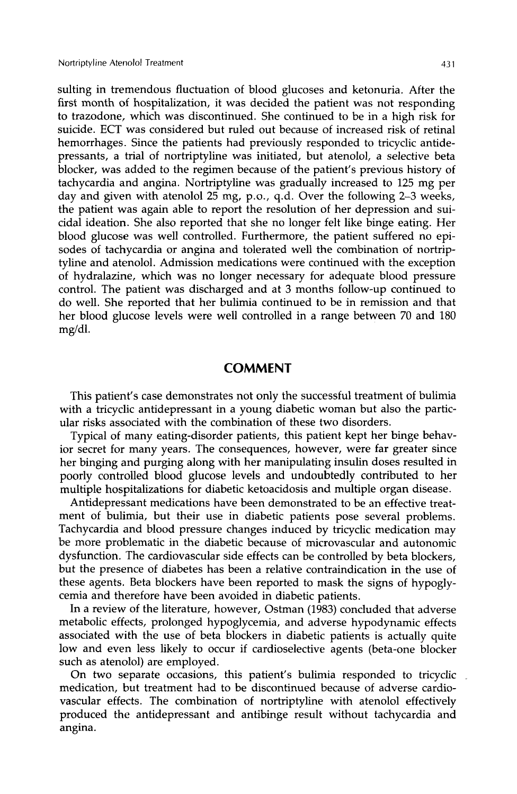sulting in tremendous fluctuation of blood glucoses and ketonuria. After the first month of hospitalization, it was decided the patient was not responding to trazodone, which was discontinued. She continued to be in a high risk for suicide. ECT was considered but ruled out because of increased risk of retinal hemorrhages. Since the patients had previously responded to tricyclic antidepressants, a trial of nortriptyline was initiated, but atenolol, a selective beta blocker, was added to the regimen because of the patient's previous history of tachycardia and angina. Nortriptyline was gradually increased to 125 mg per day and given with atenolol 25 mg, P.o., q.d. Over the following **2-3** weeks, the patient was again able to report the resolution of her depression and suicidal ideation. She also reported that she no longer felt like binge eating. Her blood glucose was well controlled. Furthermore, the patient suffered no episodes of tachycardia or angina and tolerated well the combination of nortriptyline and atenolol. Admission medications were continued with the exception of hydralazine, which was no longer necessary for adequate blood pressure control. The patient was discharged and at **3** months follow-up continued to do well. She reported that her bulimia continued to be in remission and that her blood glucose levels were well controlled in a range between 70 and 180 mg/dl.

## **COMMENT**

This patient's case demonstrates not only the successful treatment of bulimia with a tricyclic antidepressant in a young diabetic woman but also the particular risks associated with the combination of these two disorders.

Typical of many eating-disorder patients, this patient kept her binge behavior secret for many years. The consequences, however, were far greater since her binging and purging along with her manipulating insulin doses resulted in poorly controlled blood glucose levels and undoubtedly contributed to her multiple hospitalizations for diabetic ketoacidosis and multiple organ disease.

Antidepressant medications have been demonstrated to be an effective treatment of bulimia, but their use in diabetic patients pose several problems. Tachycardia and blood pressure changes induced by tricyclic medication may be more problematic in the diabetic because of microvascular and autonomic dysfunction. The cardiovascular side effects can be controlled by beta blockers, but the presence of diabetes has been a relative contraindication in the use of these agents. Beta blockers have been reported to mask the signs of hypoglycemia and therefore have been avoided in diabetic patients.

In a review of the literature, however, Ostman (1983) concluded that adverse metabolic effects, prolonged hypoglycemia, and adverse hypodynamic effects associated with the use of beta blockers in diabetic patients is actually quite low and even less likely to occur if cardioselective agents (beta-one blocker such as atenolol) are employed.

On two separate occasions, this patient's bulimia responded to tricyclic medication, but treatment had to be discontinued because of adverse cardiovascular effects. The combination of nortriptyline with atenolol effectively produced the antidepressant and antibinge result without tachycardia and angina.